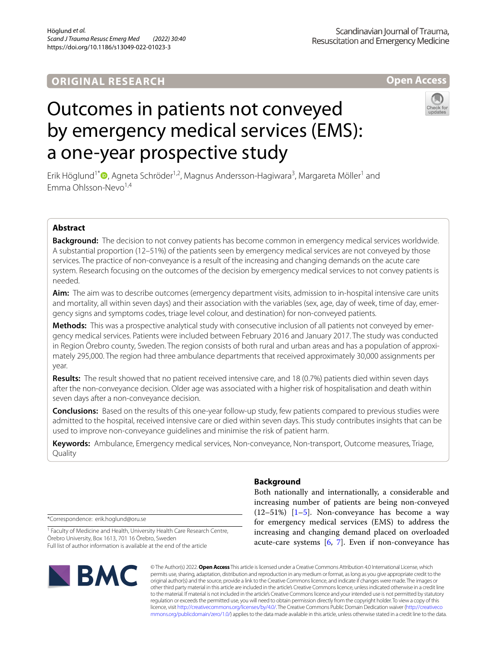# **ORIGINAL RESEARCH**

**Open Access**

# Outcomes in patients not conveyed by emergency medical services (EMS): a one-year prospective study



Erik Höglund<sup>1[\\*](http://orcid.org/0000-0001-7885-694X)</sup><sup>®</sup>, Agneta Schröder<sup>1,2</sup>, Magnus Andersson-Hagiwara<sup>3</sup>, Margareta Möller<sup>1</sup> and Emma Ohlsson-Nevo<sup>1,4</sup>

# **Abstract**

**Background:** The decision to not convey patients has become common in emergency medical services worldwide. A substantial proportion (12–51%) of the patients seen by emergency medical services are not conveyed by those services. The practice of non-conveyance is a result of the increasing and changing demands on the acute care system. Research focusing on the outcomes of the decision by emergency medical services to not convey patients is needed.

**Aim:** The aim was to describe outcomes (emergency department visits, admission to in-hospital intensive care units and mortality, all within seven days) and their association with the variables (sex, age, day of week, time of day, emergency signs and symptoms codes, triage level colour, and destination) for non-conveyed patients.

**Methods:** This was a prospective analytical study with consecutive inclusion of all patients not conveyed by emergency medical services. Patients were included between February 2016 and January 2017. The study was conducted in Region Örebro county, Sweden. The region consists of both rural and urban areas and has a population of approximately 295,000. The region had three ambulance departments that received approximately 30,000 assignments per year.

**Results:** The result showed that no patient received intensive care, and 18 (0.7%) patients died within seven days after the non-conveyance decision. Older age was associated with a higher risk of hospitalisation and death within seven days after a non-conveyance decision.

**Conclusions:** Based on the results of this one-year follow-up study, few patients compared to previous studies were admitted to the hospital, received intensive care or died within seven days. This study contributes insights that can be used to improve non-conveyance guidelines and minimise the risk of patient harm.

**Keywords:** Ambulance, Emergency medical services, Non-conveyance, Non-transport, Outcome measures, Triage, **Quality** 

\*Correspondence: erik.hoglund@oru.se

<sup>1</sup> Faculty of Medicine and Health, University Health Care Research Centre, Örebro University, Box 1613, 701 16 Örebro, Sweden Full list of author information is available at the end of the article



# **Background**

Both nationally and internationally, a considerable and increasing number of patients are being non-conveyed  $(12-51%)$  $(12-51%)$  $(12-51%)$   $[1-5]$ . Non-conveyance has become a way for emergency medical services (EMS) to address the increasing and changing demand placed on overloaded acute-care systems  $[6, 7]$  $[6, 7]$  $[6, 7]$  $[6, 7]$  $[6, 7]$ . Even if non-conveyance has

© The Author(s) 2022. **Open Access** This article is licensed under a Creative Commons Attribution 4.0 International License, which permits use, sharing, adaptation, distribution and reproduction in any medium or format, as long as you give appropriate credit to the original author(s) and the source, provide a link to the Creative Commons licence, and indicate if changes were made. The images or other third party material in this article are included in the article's Creative Commons licence, unless indicated otherwise in a credit line to the material. If material is not included in the article's Creative Commons licence and your intended use is not permitted by statutory regulation or exceeds the permitted use, you will need to obtain permission directly from the copyright holder. To view a copy of this licence, visit [http://creativecommons.org/licenses/by/4.0/.](http://creativecommons.org/licenses/by/4.0/) The Creative Commons Public Domain Dedication waiver ([http://creativeco](http://creativecommons.org/publicdomain/zero/1.0/) [mmons.org/publicdomain/zero/1.0/](http://creativecommons.org/publicdomain/zero/1.0/)) applies to the data made available in this article, unless otherwise stated in a credit line to the data.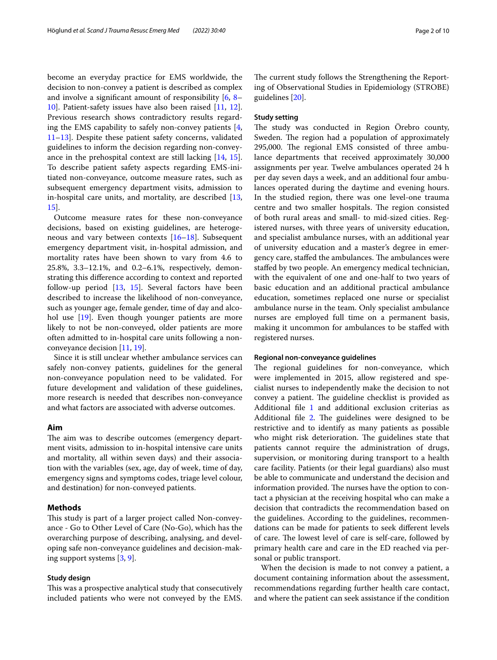become an everyday practice for EMS worldwide, the decision to non-convey a patient is described as complex and involve a signifcant amount of responsibility [\[6](#page-9-2), [8–](#page-9-4) [10\]](#page-9-5). Patient-safety issues have also been raised [[11](#page-9-6), [12](#page-9-7)]. Previous research shows contradictory results regarding the EMS capability to safely non-convey patients [\[4](#page-9-8), [11–](#page-9-6)[13](#page-9-9)]. Despite these patient safety concerns, validated guidelines to inform the decision regarding non-conveyance in the prehospital context are still lacking [[14,](#page-9-10) [15](#page-9-11)]. To describe patient safety aspects regarding EMS-initiated non-conveyance, outcome measure rates, such as subsequent emergency department visits, admission to in-hospital care units, and mortality, are described [\[13](#page-9-9), [15\]](#page-9-11).

Outcome measure rates for these non-conveyance decisions, based on existing guidelines, are heterogeneous and vary between contexts [[16](#page-9-12)[–18](#page-9-13)]. Subsequent emergency department visit, in-hospital admission, and mortality rates have been shown to vary from 4.6 to 25.8%, 3.3–12.1%, and 0.2–6.1%, respectively, demonstrating this diference according to context and reported follow-up period [\[13,](#page-9-9) [15\]](#page-9-11). Several factors have been described to increase the likelihood of non-conveyance, such as younger age, female gender, time of day and alcohol use [[19](#page-9-14)]. Even though younger patients are more likely to not be non-conveyed, older patients are more often admitted to in-hospital care units following a nonconveyance decision [[11,](#page-9-6) [19](#page-9-14)].

Since it is still unclear whether ambulance services can safely non-convey patients, guidelines for the general non-conveyance population need to be validated. For future development and validation of these guidelines, more research is needed that describes non-conveyance and what factors are associated with adverse outcomes.

# **Aim**

The aim was to describe outcomes (emergency department visits, admission to in-hospital intensive care units and mortality, all within seven days) and their association with the variables (sex, age, day of week, time of day, emergency signs and symptoms codes, triage level colour, and destination) for non-conveyed patients.

## **Methods**

This study is part of a larger project called Non-conveyance - Go to Other Level of Care (No-Go), which has the overarching purpose of describing, analysing, and developing safe non-conveyance guidelines and decision-making support systems [[3](#page-9-15), [9\]](#page-9-16).

#### **Study design**

This was a prospective analytical study that consecutively included patients who were not conveyed by the EMS.

The current study follows the Strengthening the Reporting of Observational Studies in Epidemiology (STROBE) guidelines [[20](#page-9-17)].

#### **Study setting**

The study was conducted in Region Örebro county, Sweden. The region had a population of approximately 295,000. The regional EMS consisted of three ambulance departments that received approximately 30,000 assignments per year. Twelve ambulances operated 24 h per day seven days a week, and an additional four ambulances operated during the daytime and evening hours. In the studied region, there was one level-one trauma centre and two smaller hospitals. The region consisted of both rural areas and small- to mid-sized cities. Registered nurses, with three years of university education, and specialist ambulance nurses, with an additional year of university education and a master's degree in emergency care, staffed the ambulances. The ambulances were stafed by two people. An emergency medical technician, with the equivalent of one and one-half to two years of basic education and an additional practical ambulance education, sometimes replaced one nurse or specialist ambulance nurse in the team. Only specialist ambulance nurses are employed full time on a permanent basis, making it uncommon for ambulances to be stafed with registered nurses.

## **Regional non‑conveyance guidelines**

The regional guidelines for non-conveyance, which were implemented in 2015, allow registered and specialist nurses to independently make the decision to not convey a patient. The guideline checklist is provided as Additional file [1](#page-8-0) and additional exclusion criterias as Additional file  $2$ . The guidelines were designed to be restrictive and to identify as many patients as possible who might risk deterioration. The guidelines state that patients cannot require the administration of drugs, supervision, or monitoring during transport to a health care facility. Patients (or their legal guardians) also must be able to communicate and understand the decision and information provided. The nurses have the option to contact a physician at the receiving hospital who can make a decision that contradicts the recommendation based on the guidelines. According to the guidelines, recommendations can be made for patients to seek diferent levels of care. The lowest level of care is self-care, followed by primary health care and care in the ED reached via personal or public transport.

When the decision is made to not convey a patient, a document containing information about the assessment, recommendations regarding further health care contact, and where the patient can seek assistance if the condition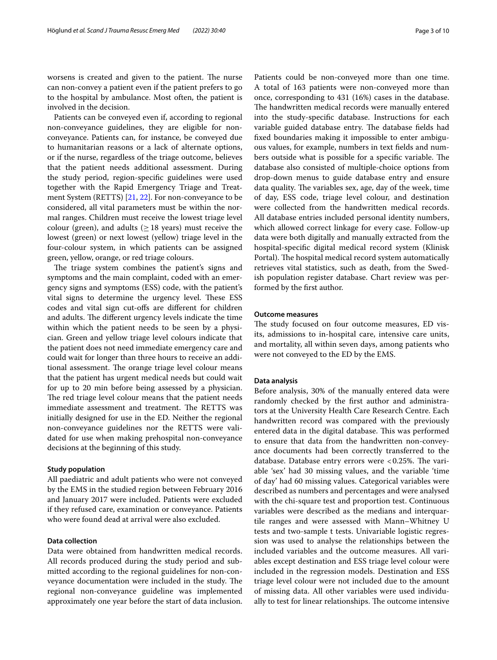worsens is created and given to the patient. The nurse can non-convey a patient even if the patient prefers to go to the hospital by ambulance. Most often, the patient is involved in the decision.

Patients can be conveyed even if, according to regional non-conveyance guidelines, they are eligible for nonconveyance. Patients can, for instance, be conveyed due to humanitarian reasons or a lack of alternate options, or if the nurse, regardless of the triage outcome, believes that the patient needs additional assessment. During the study period, region-specifc guidelines were used together with the Rapid Emergency Triage and Treatment System (RETTS) [\[21](#page-9-18), [22](#page-9-19)]. For non-conveyance to be considered, all vital parameters must be within the normal ranges. Children must receive the lowest triage level colour (green), and adults ( $\geq$  18 years) must receive the lowest (green) or next lowest (yellow) triage level in the four-colour system, in which patients can be assigned green, yellow, orange, or red triage colours.

The triage system combines the patient's signs and symptoms and the main complaint, coded with an emergency signs and symptoms (ESS) code, with the patient's vital signs to determine the urgency level. These ESS codes and vital sign cut-ofs are diferent for children and adults. The different urgency levels indicate the time within which the patient needs to be seen by a physician. Green and yellow triage level colours indicate that the patient does not need immediate emergency care and could wait for longer than three hours to receive an additional assessment. The orange triage level colour means that the patient has urgent medical needs but could wait for up to 20 min before being assessed by a physician. The red triage level colour means that the patient needs immediate assessment and treatment. The RETTS was initially designed for use in the ED. Neither the regional non-conveyance guidelines nor the RETTS were validated for use when making prehospital non-conveyance decisions at the beginning of this study.

#### **Study population**

All paediatric and adult patients who were not conveyed by the EMS in the studied region between February 2016 and January 2017 were included. Patients were excluded if they refused care, examination or conveyance. Patients who were found dead at arrival were also excluded.

# **Data collection**

Data were obtained from handwritten medical records. All records produced during the study period and submitted according to the regional guidelines for non-conveyance documentation were included in the study. The regional non-conveyance guideline was implemented approximately one year before the start of data inclusion. Patients could be non-conveyed more than one time. A total of 163 patients were non-conveyed more than once, corresponding to 431 (16%) cases in the database. The handwritten medical records were manually entered into the study-specifc database. Instructions for each variable guided database entry. The database fields had fxed boundaries making it impossible to enter ambiguous values, for example, numbers in text felds and numbers outside what is possible for a specific variable. The database also consisted of multiple-choice options from drop-down menus to guide database entry and ensure data quality. The variables sex, age, day of the week, time of day, ESS code, triage level colour, and destination were collected from the handwritten medical records. All database entries included personal identity numbers, which allowed correct linkage for every case. Follow-up data were both digitally and manually extracted from the hospital-specifc digital medical record system (Klinisk Portal). The hospital medical record system automatically retrieves vital statistics, such as death, from the Swedish population register database. Chart review was performed by the frst author.

## **Outcome measures**

The study focused on four outcome measures, ED visits, admissions to in-hospital care, intensive care units, and mortality, all within seven days, among patients who were not conveyed to the ED by the EMS.

## **Data analysis**

Before analysis, 30% of the manually entered data were randomly checked by the frst author and administrators at the University Health Care Research Centre. Each handwritten record was compared with the previously entered data in the digital database. This was performed to ensure that data from the handwritten non-conveyance documents had been correctly transferred to the database. Database entry errors were  $< 0.25\%$ . The variable 'sex' had 30 missing values, and the variable 'time of day' had 60 missing values. Categorical variables were described as numbers and percentages and were analysed with the chi-square test and proportion test. Continuous variables were described as the medians and interquartile ranges and were assessed with Mann–Whitney U tests and two-sample t tests. Univariable logistic regression was used to analyse the relationships between the included variables and the outcome measures. All variables except destination and ESS triage level colour were included in the regression models. Destination and ESS triage level colour were not included due to the amount of missing data. All other variables were used individually to test for linear relationships. The outcome intensive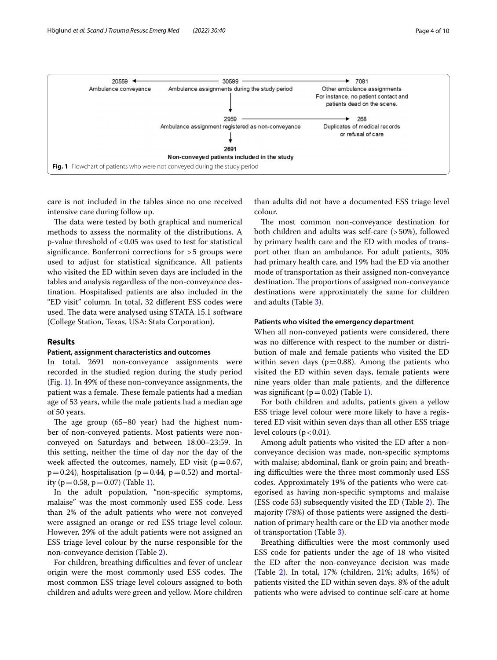

<span id="page-3-0"></span>care is not included in the tables since no one received intensive care during follow up.

The data were tested by both graphical and numerical methods to assess the normality of the distributions. A p-value threshold of  $< 0.05$  was used to test for statistical signifcance. Bonferroni corrections for >5 groups were used to adjust for statistical signifcance. All patients who visited the ED within seven days are included in the tables and analysis regardless of the non-conveyance destination. Hospitalised patients are also included in the "ED visit" column. In total, 32 diferent ESS codes were used. The data were analysed using STATA 15.1 software (College Station, Texas, USA: Stata Corporation).

## **Results**

#### **Patient, assignment characteristics and outcomes**

In total, 2691 non-conveyance assignments were recorded in the studied region during the study period (Fig. [1\)](#page-3-0). In 49% of these non-conveyance assignments, the patient was a female. These female patients had a median age of 53 years, while the male patients had a median age of 50 years.

The age group  $(65-80 \text{ year})$  had the highest number of non-conveyed patients. Most patients were nonconveyed on Saturdays and between 18:00–23:59. In this setting, neither the time of day nor the day of the week affected the outcomes, namely, ED visit ( $p=0.67$ ,  $p=0.24$ ), hospitalisation ( $p=0.44$ ,  $p=0.52$ ) and mortality ( $p=0.58$ ,  $p=0.07$ ) (Table [1](#page-4-0)).

In the adult population, "non-specifc symptoms, malaise" was the most commonly used ESS code. Less than 2% of the adult patients who were not conveyed were assigned an orange or red ESS triage level colour. However, 29% of the adult patients were not assigned an ESS triage level colour by the nurse responsible for the non-conveyance decision (Table [2](#page-5-0)).

For children, breathing difficulties and fever of unclear origin were the most commonly used ESS codes. The most common ESS triage level colours assigned to both children and adults were green and yellow. More children

than adults did not have a documented ESS triage level colour.

The most common non-conveyance destination for both children and adults was self-care (>50%), followed by primary health care and the ED with modes of transport other than an ambulance. For adult patients, 30% had primary health care, and 19% had the ED via another mode of transportation as their assigned non-conveyance destination. The proportions of assigned non-conveyance destinations were approximately the same for children and adults (Table [3](#page-6-0)).

#### **Patients who visited the emergency department**

When all non-conveyed patients were considered, there was no diference with respect to the number or distribution of male and female patients who visited the ED within seven days ( $p=0.88$ ). Among the patients who visited the ED within seven days, female patients were nine years older than male patients, and the diference was significant ( $p=0.02$ ) (Table [1\)](#page-4-0).

For both children and adults, patients given a yellow ESS triage level colour were more likely to have a registered ED visit within seven days than all other ESS triage level colours  $(p < 0.01)$ .

Among adult patients who visited the ED after a nonconveyance decision was made, non-specifc symptoms with malaise; abdominal, flank or groin pain; and breathing difculties were the three most commonly used ESS codes. Approximately 19% of the patients who were categorised as having non-specifc symptoms and malaise (ESS code 53) subsequently visited the ED (Table  $2$ ). The majority (78%) of those patients were assigned the destination of primary health care or the ED via another mode of transportation (Table [3\)](#page-6-0).

Breathing difficulties were the most commonly used ESS code for patients under the age of 18 who visited the ED after the non-conveyance decision was made (Table [2](#page-5-0)). In total, 17% (children, 21%; adults, 16%) of patients visited the ED within seven days. 8% of the adult patients who were advised to continue self-care at home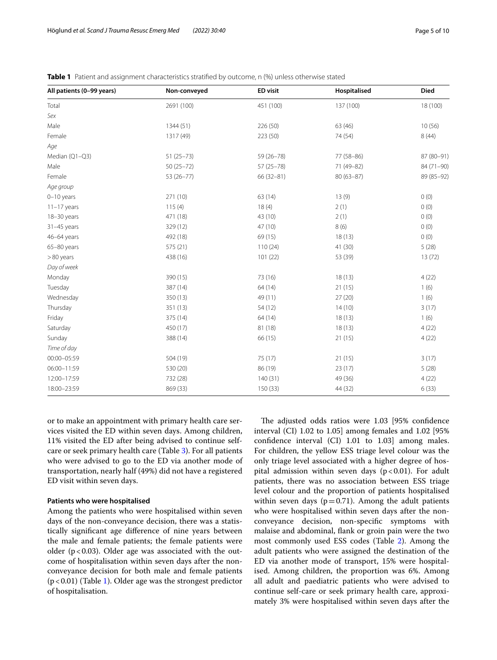| All patients (0-99 years) | Non-conveyed  | <b>ED visit</b> | Hospitalised  | <b>Died</b> |
|---------------------------|---------------|-----------------|---------------|-------------|
| Total                     | 2691 (100)    | 451 (100)       | 137 (100)     | 18 (100)    |
| Sex                       |               |                 |               |             |
| Male                      | 1344 (51)     | 226 (50)        | 63 (46)       | 10(56)      |
| Female                    | 1317 (49)     | 223 (50)        | 74 (54)       | 8(44)       |
| Age                       |               |                 |               |             |
| Median (Q1-Q3)            | $51(25 - 73)$ | $59(26 - 78)$   | 77 (58-86)    | 87 (80-91)  |
| Male                      | $50(25 - 72)$ | $57(25 - 78)$   | 71 (49-82)    | $84(71-90)$ |
| Female                    | $53(26 - 77)$ | $66(32-81)$     | $80(63 - 87)$ | 89 (85-92)  |
| Age group                 |               |                 |               |             |
| $0-10$ years              | 271 (10)      | 63(14)          | 13(9)         | 0(0)        |
| $11-17$ years             | 115(4)        | 18(4)           | 2(1)          | 0(0)        |
| 18-30 years               | 471 (18)      | 43 (10)         | 2(1)          | 0(0)        |
| $31 - 45$ years           | 329 (12)      | 47 (10)         | 8(6)          | 0(0)        |
| 46-64 years               | 492 (18)      | 69 (15)         | 18(13)        | 0(0)        |
| 65-80 years               | 575 (21)      | 110(24)         | 41 (30)       | 5(28)       |
| >80 years                 | 438 (16)      | 101(22)         | 53 (39)       | 13 (72)     |
| Day of week               |               |                 |               |             |
| Monday                    | 390 (15)      | 73 (16)         | 18(13)        | 4(22)       |
| Tuesday                   | 387 (14)      | 64 (14)         | 21(15)        | 1(6)        |
| Wednesday                 | 350 (13)      | 49 (11)         | 27(20)        | 1(6)        |
| Thursday                  | 351 (13)      | 54 (12)         | 14(10)        | 3(17)       |
| Friday                    | 375 (14)      | 64 (14)         | 18(13)        | 1(6)        |
| Saturday                  | 450 (17)      | 81 (18)         | 18(13)        | 4(22)       |
| Sunday                    | 388 (14)      | 66 (15)         | 21(15)        | 4(22)       |
| Time of day               |               |                 |               |             |
| 00:00-05:59               | 504 (19)      | 75 (17)         | 21(15)        | 3(17)       |
| 06:00-11:59               | 530 (20)      | 86 (19)         | 23(17)        | 5(28)       |
| 12:00-17:59               | 732 (28)      | 140(31)         | 49 (36)       | 4(22)       |
| 18:00-23:59               | 869 (33)      | 150 (33)        | 44 (32)       | 6(33)       |

<span id="page-4-0"></span>**Table 1** Patient and assignment characteristics stratifed by outcome, n (%) unless otherwise stated

or to make an appointment with primary health care services visited the ED within seven days. Among children, 11% visited the ED after being advised to continue selfcare or seek primary health care (Table [3](#page-6-0)). For all patients who were advised to go to the ED via another mode of transportation, nearly half (49%) did not have a registered ED visit within seven days.

#### **Patients who were hospitalised**

Among the patients who were hospitalised within seven days of the non-conveyance decision, there was a statistically signifcant age diference of nine years between the male and female patients; the female patients were older ( $p < 0.03$ ). Older age was associated with the outcome of hospitalisation within seven days after the nonconveyance decision for both male and female patients  $(p<0.01)$  $(p<0.01)$  (Table 1). Older age was the strongest predictor of hospitalisation.

The adjusted odds ratios were 1.03 [95% confidence interval (CI) 1.02 to 1.05] among females and 1.02 [95% confdence interval (CI) 1.01 to 1.03] among males. For children, the yellow ESS triage level colour was the only triage level associated with a higher degree of hospital admission within seven days ( $p < 0.01$ ). For adult patients, there was no association between ESS triage level colour and the proportion of patients hospitalised within seven days ( $p=0.71$ ). Among the adult patients who were hospitalised within seven days after the nonconveyance decision, non-specifc symptoms with malaise and abdominal, fank or groin pain were the two most commonly used ESS codes (Table [2\)](#page-5-0). Among the adult patients who were assigned the destination of the ED via another mode of transport, 15% were hospitalised. Among children, the proportion was 6%. Among all adult and paediatric patients who were advised to continue self-care or seek primary health care, approximately 3% were hospitalised within seven days after the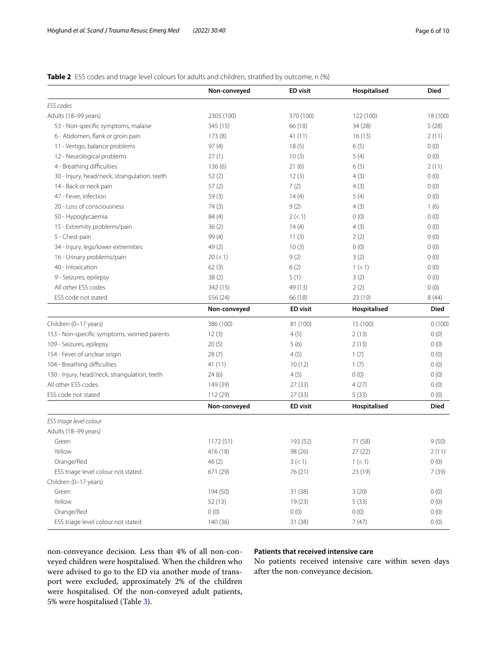# <span id="page-5-0"></span>**Table 2** ESS codes and triage level colours for adults and children, stratified by outcome, n (%)

|                                               | Non-conveyed | <b>ED visit</b> | Hospitalised | <b>Died</b> |
|-----------------------------------------------|--------------|-----------------|--------------|-------------|
| ESS codes                                     |              |                 |              |             |
| Adults (18-99 years)                          | 2305 (100)   | 370 (100)       | 122 (100)    | 18 (100)    |
| 53 - Non-specific symptoms, malaise           | 345 (15)     | 66 (18)         | 34 (28)      | 5(28)       |
| 6 - Abdomen, flank or groin pain              | 173(8)       | 41 (11)         | 16(13)       | 2(11)       |
| 11 - Vertigo, balance problems                | 97(4)        | 18(5)           | 6(5)         | 0(0)        |
| 12 - Neurological problems                    | 27(1)        | 10(3)           | 5(4)         | 0(0)        |
| 4 - Breathing difficulties                    | 136(6)       | 21(6)           | 6(5)         | 2(11)       |
| 30 - Injury, head/neck, strangulation, teeth  | 52(2)        | 12(3)           | 4(3)         | 0(0)        |
| 14 - Back or neck pain                        | 57(2)        | 7(2)            | 4(3)         | 0(0)        |
| 47 - Fever, infection                         | 59(3)        | 14(4)           | 5(4)         | 0(0)        |
| 20 - Loss of consciousness                    | 74(3)        | 9(2)            | 4(3)         | 1(6)        |
| 50 - Hypoglycaemia                            | 84 (4)       | 2 (< 1)         | 0(0)         | 0(0)        |
| 15 - Extremity problems/pain                  | 36(2)        | 14(4)           | 4(3)         | 0(0)        |
| 5 - Chest pain                                | 99 (4)       | 11(3)           | 2(2)         | 0(0)        |
| 34 - Injury, legs/lower extremities           | 49(2)        | 10(3)           | 0(0)         | 0(0)        |
| 16 - Urinary problems/pain                    | 20 (< 1)     | 9(2)            | 3(2)         | 0(0)        |
| 40 - Intoxication                             | 62(3)        | 6(2)            | 1 (< 1)      | 0(0)        |
| 9 - Seizures, epilepsy                        | 38(2)        | 5(1)            | 3(2)         | 0(0)        |
| All other ESS codes                           | 342 (15)     | 49 (13)         | 2(2)         | 0(0)        |
| ESS code not stated                           | 556 (24)     | 66 (18)         | 23 (19)      | 8(44)       |
|                                               | Non-conveyed | <b>ED</b> visit | Hospitalised | <b>Died</b> |
| Children (0-17 years)                         | 386 (100)    | 81 (100)        | 15 (100)     | 0(100)      |
| 153 - Non-specific symptoms, worried parents  | 12(3)        | 4(5)            | 2(13)        | 0(0)        |
| 109 - Seizures, epilepsy                      | 20(5)        | 5(6)            | 2(13)        | 0(0)        |
| 154 - Fever of unclear origin                 | 28(7)        | 4(5)            | 1(7)         | 0(0)        |
| 104 - Breathing difficulties                  | 41 (11)      | 10(12)          | 1(7)         | 0(0)        |
| 130 - Injury, head/neck, strangulation, teeth | 24(6)        | 4(5)            | 0(0)         | 0(0)        |
| All other ESS codes                           | 149 (39)     | 27(33)          | 4(27)        | 0(0)        |
| ESS code not stated                           | 112 (29)     | 27 (33)         | 5(33)        | 0(0)        |
|                                               | Non-conveyed | <b>ED visit</b> | Hospitalised | <b>Died</b> |
| ESS triage level colour                       |              |                 |              |             |
| Adults (18-99 years)                          |              |                 |              |             |
| Green                                         | 1172 (51)    | 193 (52)        | 71 (58)      | 9(50)       |
| Yellow                                        | 416 (18)     | 98 (26)         | 27(22)       | 2(11)       |
| Orange/Red                                    | 46(2)        | 3 (< 1)         | 1 (< 1)      | $0\ (0)$    |
| ESS triage level colour not stated            | 671 (29)     | 76 (21)         | 23 (19)      | 7 (39)      |
| Children (0-17 years)                         |              |                 |              |             |
| Green                                         | 194 (50)     | 31 (38)         | 3(20)        | 0(0)        |
| Yellow                                        | 52(13)       | 19(23)          | 5(33)        | 0(0)        |
| Orange/Red                                    | 0(0)         | 0(0)            | 0(0)         | 0(0)        |
| ESS triage level colour not stated            | 140 (36)     | 31 (38)         | 7(47)        | 0(0)        |

non-conveyance decision. Less than 4% of all non-conveyed children were hospitalised. When the children who were advised to go to the ED via another mode of transport were excluded, approximately 2% of the children were hospitalised. Of the non-conveyed adult patients, 5% were hospitalised (Table [3\)](#page-6-0).

# **Patients that received intensive care**

No patients received intensive care within seven days after the non-conveyance decision.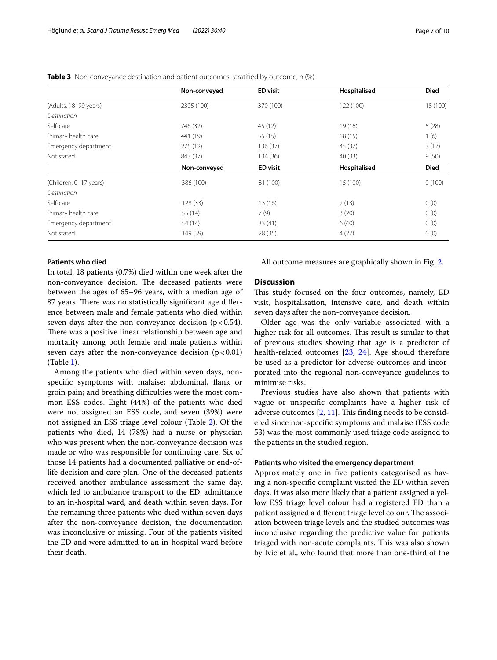|                        | Non-conveyed | <b>ED visit</b> | Hospitalised | <b>Died</b> |
|------------------------|--------------|-----------------|--------------|-------------|
| (Adults, 18-99 years)  | 2305 (100)   | 370 (100)       | 122 (100)    | 18 (100)    |
| Destination            |              |                 |              |             |
| Self-care              | 746 (32)     | 45 (12)         | 19 (16)      | 5(28)       |
| Primary health care    | 441 (19)     | 55 (15)         | 18(15)       | 1(6)        |
| Emergency department   | 275(12)      | 136(37)         | 45 (37)      | 3(17)       |
| Not stated             | 843 (37)     | 134(36)         | 40(33)       | 9(50)       |
|                        | Non-conveyed | <b>ED visit</b> | Hospitalised | <b>Died</b> |
| (Children, 0-17 years) | 386 (100)    | 81 (100)        | 15 (100)     | 0(100)      |
| Destination            |              |                 |              |             |
| Self-care              | 128(33)      | 13(16)          | 2(13)        | 0(0)        |
| Primary health care    | 55 (14)      | 7(9)            | 3(20)        | 0(0)        |
| Emergency department   | 54 (14)      | 33(41)          | 6(40)        | 0(0)        |
| Not stated             | 149 (39)     | 28 (35)         | 4(27)        | 0(0)        |

<span id="page-6-0"></span>**Table 3** Non-conveyance destination and patient outcomes, stratified by outcome, n (%)

#### **Patients who died**

In total, 18 patients (0.7%) died within one week after the non-conveyance decision. The deceased patients were between the ages of 65–96 years, with a median age of 87 years. There was no statistically significant age difference between male and female patients who died within seven days after the non-conveyance decision  $(p < 0.54)$ . There was a positive linear relationship between age and mortality among both female and male patients within seven days after the non-conveyance decision  $(p < 0.01)$ (Table [1](#page-4-0)).

Among the patients who died within seven days, nonspecific symptoms with malaise; abdominal, flank or groin pain; and breathing difficulties were the most common ESS codes. Eight (44%) of the patients who died were not assigned an ESS code, and seven (39%) were not assigned an ESS triage level colour (Table [2](#page-5-0)). Of the patients who died, 14 (78%) had a nurse or physician who was present when the non-conveyance decision was made or who was responsible for continuing care. Six of those 14 patients had a documented palliative or end-oflife decision and care plan. One of the deceased patients received another ambulance assessment the same day, which led to ambulance transport to the ED, admittance to an in-hospital ward, and death within seven days. For the remaining three patients who died within seven days after the non-conveyance decision, the documentation was inconclusive or missing. Four of the patients visited the ED and were admitted to an in-hospital ward before their death.

All outcome measures are graphically shown in Fig. [2.](#page-7-0)

# **Discussion**

This study focused on the four outcomes, namely, ED visit, hospitalisation, intensive care, and death within seven days after the non-conveyance decision.

Older age was the only variable associated with a higher risk for all outcomes. This result is similar to that of previous studies showing that age is a predictor of health-related outcomes [\[23](#page-9-20), [24\]](#page-9-21). Age should therefore be used as a predictor for adverse outcomes and incorporated into the regional non-conveyance guidelines to minimise risks.

Previous studies have also shown that patients with vague or unspecifc complaints have a higher risk of adverse outcomes  $[2, 11]$  $[2, 11]$  $[2, 11]$ . This finding needs to be considered since non-specifc symptoms and malaise (ESS code 53) was the most commonly used triage code assigned to the patients in the studied region.

# **Patients who visited the emergency department**

Approximately one in fve patients categorised as having a non-specifc complaint visited the ED within seven days. It was also more likely that a patient assigned a yellow ESS triage level colour had a registered ED than a patient assigned a different triage level colour. The association between triage levels and the studied outcomes was inconclusive regarding the predictive value for patients triaged with non-acute complaints. This was also shown by Ivic et al., who found that more than one-third of the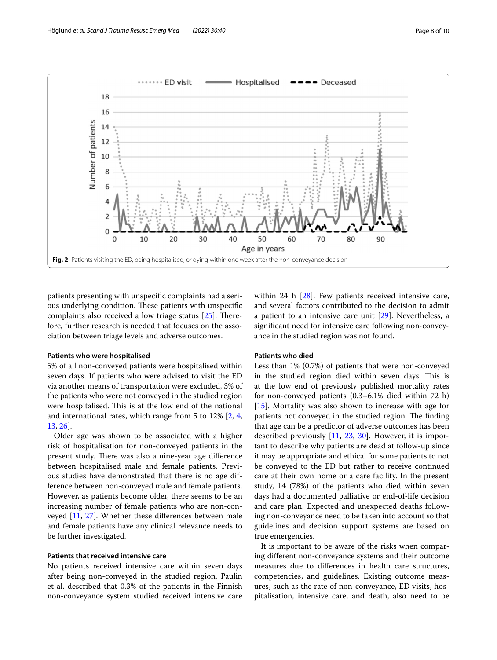

<span id="page-7-0"></span>patients presenting with unspecifc complaints had a serious underlying condition. These patients with unspecific complaints also received a low triage status  $[25]$  $[25]$ . Therefore, further research is needed that focuses on the association between triage levels and adverse outcomes.

#### **Patients who were hospitalised**

5% of all non-conveyed patients were hospitalised within seven days. If patients who were advised to visit the ED via another means of transportation were excluded, 3% of the patients who were not conveyed in the studied region were hospitalised. This is at the low end of the national and international rates, which range from 5 to 12% [\[2](#page-9-22), [4](#page-9-8), [13,](#page-9-9) [26\]](#page-9-24).

Older age was shown to be associated with a higher risk of hospitalisation for non-conveyed patients in the present study. There was also a nine-year age difference between hospitalised male and female patients. Previous studies have demonstrated that there is no age difference between non-conveyed male and female patients. However, as patients become older, there seems to be an increasing number of female patients who are non-conveyed [[11,](#page-9-6) [27\]](#page-9-25). Whether these diferences between male and female patients have any clinical relevance needs to be further investigated.

#### **Patients that received intensive care**

No patients received intensive care within seven days after being non-conveyed in the studied region. Paulin et al. described that 0.3% of the patients in the Finnish non-conveyance system studied received intensive care within 24 h [[28](#page-9-26)]. Few patients received intensive care, and several factors contributed to the decision to admit a patient to an intensive care unit [\[29\]](#page-9-27). Nevertheless, a signifcant need for intensive care following non-conveyance in the studied region was not found.

#### **Patients who died**

Less than 1% (0.7%) of patients that were non-conveyed in the studied region died within seven days. This is at the low end of previously published mortality rates for non-conveyed patients (0.3–6.1% died within 72 h) [[15\]](#page-9-11). Mortality was also shown to increase with age for patients not conveyed in the studied region. The finding that age can be a predictor of adverse outcomes has been described previously [\[11](#page-9-6), [23](#page-9-20), [30\]](#page-9-28). However, it is important to describe why patients are dead at follow-up since it may be appropriate and ethical for some patients to not be conveyed to the ED but rather to receive continued care at their own home or a care facility. In the present study, 14 (78%) of the patients who died within seven days had a documented palliative or end-of-life decision and care plan. Expected and unexpected deaths following non-conveyance need to be taken into account so that guidelines and decision support systems are based on true emergencies.

It is important to be aware of the risks when comparing diferent non-conveyance systems and their outcome measures due to diferences in health care structures, competencies, and guidelines. Existing outcome measures, such as the rate of non-conveyance, ED visits, hospitalisation, intensive care, and death, also need to be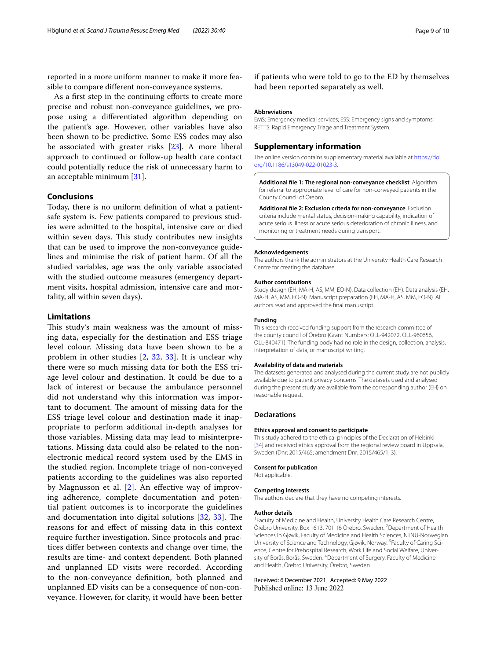reported in a more uniform manner to make it more feasible to compare diferent non-conveyance systems.

As a first step in the continuing efforts to create more precise and robust non-conveyance guidelines, we propose using a diferentiated algorithm depending on the patient's age. However, other variables have also been shown to be predictive. Some ESS codes may also be associated with greater risks [[23\]](#page-9-20). A more liberal approach to continued or follow-up health care contact could potentially reduce the risk of unnecessary harm to an acceptable minimum [\[31](#page-9-29)].

# **Conclusions**

Today, there is no uniform defnition of what a patientsafe system is. Few patients compared to previous studies were admitted to the hospital, intensive care or died within seven days. This study contributes new insights that can be used to improve the non-conveyance guidelines and minimise the risk of patient harm. Of all the studied variables, age was the only variable associated with the studied outcome measures (emergency department visits, hospital admission, intensive care and mortality, all within seven days).

# **Limitations**

This study's main weakness was the amount of missing data, especially for the destination and ESS triage level colour. Missing data have been shown to be a problem in other studies [[2,](#page-9-22) [32](#page-9-30), [33](#page-9-31)]. It is unclear why there were so much missing data for both the ESS triage level colour and destination. It could be due to a lack of interest or because the ambulance personnel did not understand why this information was important to document. The amount of missing data for the ESS triage level colour and destination made it inappropriate to perform additional in-depth analyses for those variables. Missing data may lead to misinterpretations. Missing data could also be related to the nonelectronic medical record system used by the EMS in the studied region. Incomplete triage of non-conveyed patients according to the guidelines was also reported by Magnusson et al. [[2\]](#page-9-22). An efective way of improving adherence, complete documentation and potential patient outcomes is to incorporate the guidelines and documentation into digital solutions  $[32, 33]$  $[32, 33]$  $[32, 33]$  $[32, 33]$ . The reasons for and efect of missing data in this context require further investigation. Since protocols and practices difer between contexts and change over time, the results are time- and context dependent. Both planned and unplanned ED visits were recorded. According to the non-conveyance defnition, both planned and unplanned ED visits can be a consequence of non-conveyance. However, for clarity, it would have been better if patients who were told to go to the ED by themselves had been reported separately as well.

#### **Abbreviations**

EMS: Emergency medical services; ESS: Emergency signs and symptoms; RETTS: Rapid Emergency Triage and Treatment System.

#### **Supplementary information**

The online version contains supplementary material available at [https://doi.](https://doi.org/10.1186/s13049-022-01023-3) [org/10.1186/s13049-022-01023-3](https://doi.org/10.1186/s13049-022-01023-3).

<span id="page-8-0"></span>**Additional fle 1: The regional non-conveyance checklist**. Algorithm for referral to appropriate level of care for non-conveyed patients in the County Council of Örebro.

<span id="page-8-1"></span>**Additional fle 2: Exclusion criteria for non-conveyance**. Exclusion criteria include mental status, decision-making capability, indication of acute serious illness or acute serious deterioration of chronic illness, and monitoring or treatment needs during transport.

#### **Acknowledgements**

The authors thank the administrators at the University Health Care Research Centre for creating the database.

#### **Author contributions**

Study design (EH, MA-H, AS, MM, EO-N). Data collection (EH). Data analysis (EH, MA-H, AS, MM, EO-N). Manuscript preparation (EH, MA-H, AS, MM, EO-N). All authors read and approved the fnal manuscript.

#### **Funding**

This research received funding support from the research committee of the county council of Örebro (Grant Numbers: OLL-942072, OLL-960656, OLL-840471). The funding body had no role in the design, collection, analysis, interpretation of data, or manuscript writing.

#### **Availability of data and materials**

The datasets generated and analysed during the current study are not publicly available due to patient privacy concerns. The datasets used and analysed during the present study are available from the corresponding author (EH) on reasonable request.

#### **Declarations**

#### **Ethics approval and consent to participate**

This study adhered to the ethical principles of the Declaration of Helsinki [[34](#page-9-32)] and received ethics approval from the regional review board in Uppsala, Sweden (Dnr: 2015/465; amendment Dnr: 2015/465/1, 3).

#### **Consent for publication**

Not applicable.

#### **Competing interests**

The authors declare that they have no competing interests.

#### **Author details**

<sup>1</sup> Faculty of Medicine and Health, University Health Care Research Centre, Örebro University, Box 1613, 701 16 Örebro, Sweden. <sup>2</sup> Department of Health Sciences in Gjøvik, Faculty of Medicine and Health Sciences, NTNU-Norwegian University of Science and Technology, Gjøvik, Norway. <sup>3</sup> Faculty of Caring Science, Centre for Prehospital Research, Work Life and Social Welfare, University of Borås, Borås, Sweden. <sup>4</sup> Department of Surgery, Faculty of Medicine and Health, Örebro University, Örebro, Sweden.

#### Received: 6 December 2021 Accepted: 9 May 2022Published online: 13 June 2022